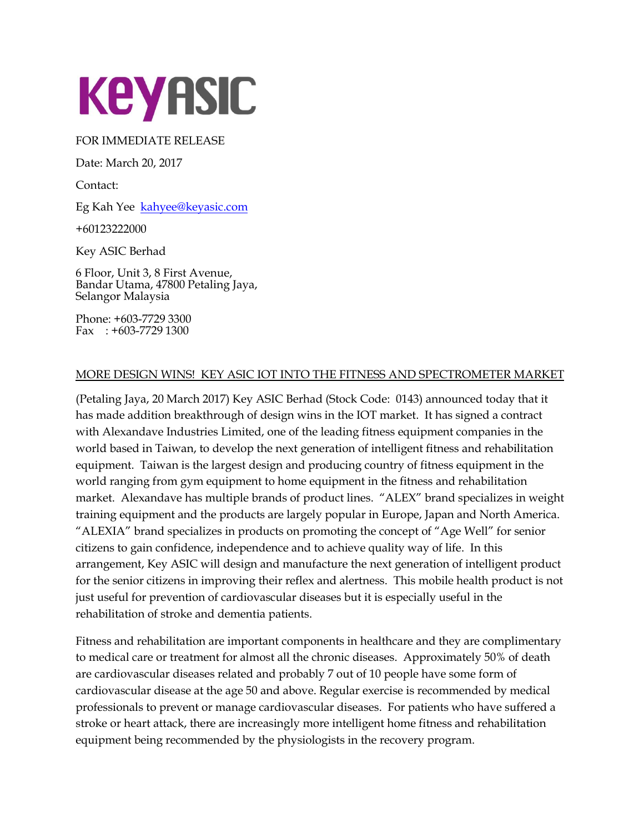

## FOR IMMEDIATE RELEASE

Date: March 20, 2017

Contact:

Eg Kah Yee [kahyee@keyasic.com](mailto:kahyee@keyasic.com)

+60123222000

Key ASIC Berhad

6 Floor, Unit 3, 8 First Avenue, Bandar Utama, 47800 Petaling Jaya, Selangor Malaysia

Phone: +603-7729 3300 Fax : +603-7729 1300

## MORE DESIGN WINS! KEY ASIC IOT INTO THE FITNESS AND SPECTROMETER MARKET

(Petaling Jaya, 20 March 2017) Key ASIC Berhad (Stock Code: 0143) announced today that it has made addition breakthrough of design wins in the IOT market. It has signed a contract with Alexandave Industries Limited, one of the leading fitness equipment companies in the world based in Taiwan, to develop the next generation of intelligent fitness and rehabilitation equipment. Taiwan is the largest design and producing country of fitness equipment in the world ranging from gym equipment to home equipment in the fitness and rehabilitation market. Alexandave has multiple brands of product lines. "ALEX" brand specializes in weight training equipment and the products are largely popular in Europe, Japan and North America. "ALEXIA" brand specializes in products on promoting the concept of "Age Well" for senior citizens to gain confidence, independence and to achieve quality way of life. In this arrangement, Key ASIC will design and manufacture the next generation of intelligent product for the senior citizens in improving their reflex and alertness. This mobile health product is not just useful for prevention of cardiovascular diseases but it is especially useful in the rehabilitation of stroke and dementia patients.

Fitness and rehabilitation are important components in healthcare and they are complimentary to medical care or treatment for almost all the chronic diseases. Approximately 50% of death are cardiovascular diseases related and probably 7 out of 10 people have some form of cardiovascular disease at the age 50 and above. Regular exercise is recommended by medical professionals to prevent or manage cardiovascular diseases. For patients who have suffered a stroke or heart attack, there are increasingly more intelligent home fitness and rehabilitation equipment being recommended by the physiologists in the recovery program.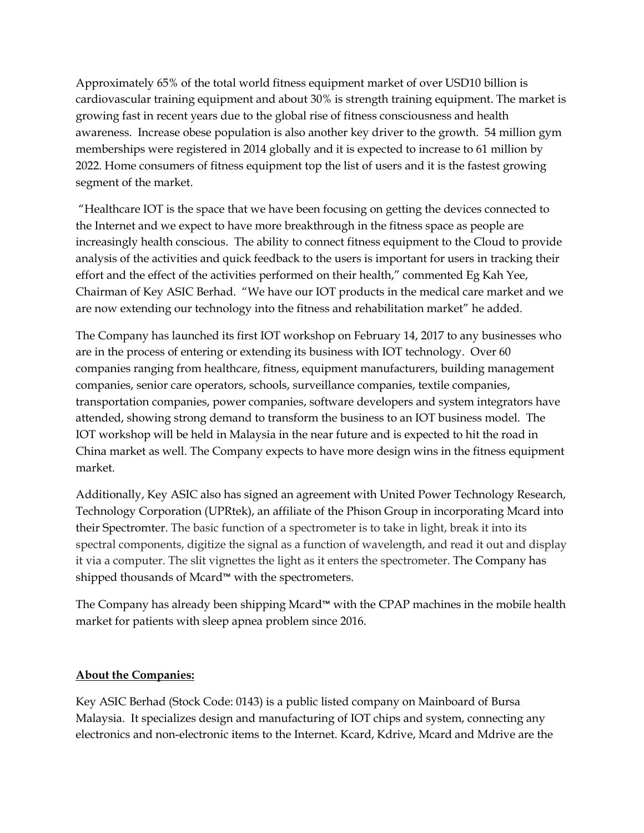Approximately 65% of the total world fitness equipment market of over USD10 billion is cardiovascular training equipment and about 30% is strength training equipment. The market is growing fast in recent years due to the global rise of fitness consciousness and health awareness. Increase obese population is also another key driver to the growth. 54 million gym memberships were registered in 2014 globally and it is expected to increase to 61 million by 2022. Home consumers of fitness equipment top the list of users and it is the fastest growing segment of the market.

"Healthcare IOT is the space that we have been focusing on getting the devices connected to the Internet and we expect to have more breakthrough in the fitness space as people are increasingly health conscious. The ability to connect fitness equipment to the Cloud to provide analysis of the activities and quick feedback to the users is important for users in tracking their effort and the effect of the activities performed on their health," commented Eg Kah Yee, Chairman of Key ASIC Berhad. "We have our IOT products in the medical care market and we are now extending our technology into the fitness and rehabilitation market" he added.

The Company has launched its first IOT workshop on February 14, 2017 to any businesses who are in the process of entering or extending its business with IOT technology. Over 60 companies ranging from healthcare, fitness, equipment manufacturers, building management companies, senior care operators, schools, surveillance companies, textile companies, transportation companies, power companies, software developers and system integrators have attended, showing strong demand to transform the business to an IOT business model. The IOT workshop will be held in Malaysia in the near future and is expected to hit the road in China market as well. The Company expects to have more design wins in the fitness equipment market.

Additionally, Key ASIC also has signed an agreement with United Power Technology Research, Technology Corporation (UPRtek), an affiliate of the Phison Group in incorporating Mcard into their Spectromter. The basic function of a spectrometer is to take in light, break it into its spectral components, digitize the signal as a function of wavelength, and read it out and display it via a computer. The slit vignettes the light as it enters the spectrometer. The Company has shipped thousands of Mcard™ with the spectrometers.

The Company has already been shipping Mcard™ with the CPAP machines in the mobile health market for patients with sleep apnea problem since 2016.

## **About the Companies:**

Key ASIC Berhad (Stock Code: 0143) is a public listed company on Mainboard of Bursa Malaysia. It specializes design and manufacturing of IOT chips and system, connecting any electronics and non-electronic items to the Internet. Kcard, Kdrive, Mcard and Mdrive are the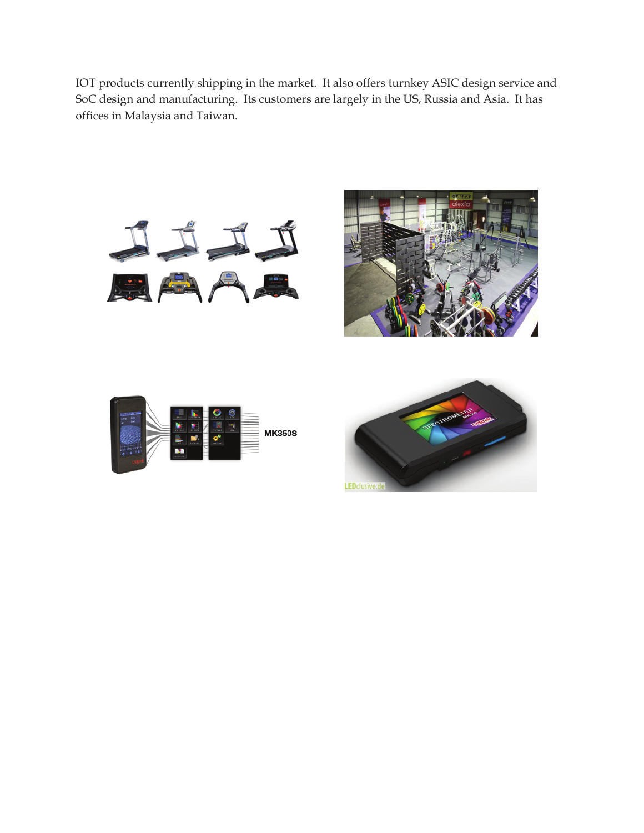IOT products currently shipping in the market. It also offers turnkey ASIC design service and SoC design and manufacturing. Its customers are largely in the US, Russia and Asia. It has offices in Malaysia and Taiwan.